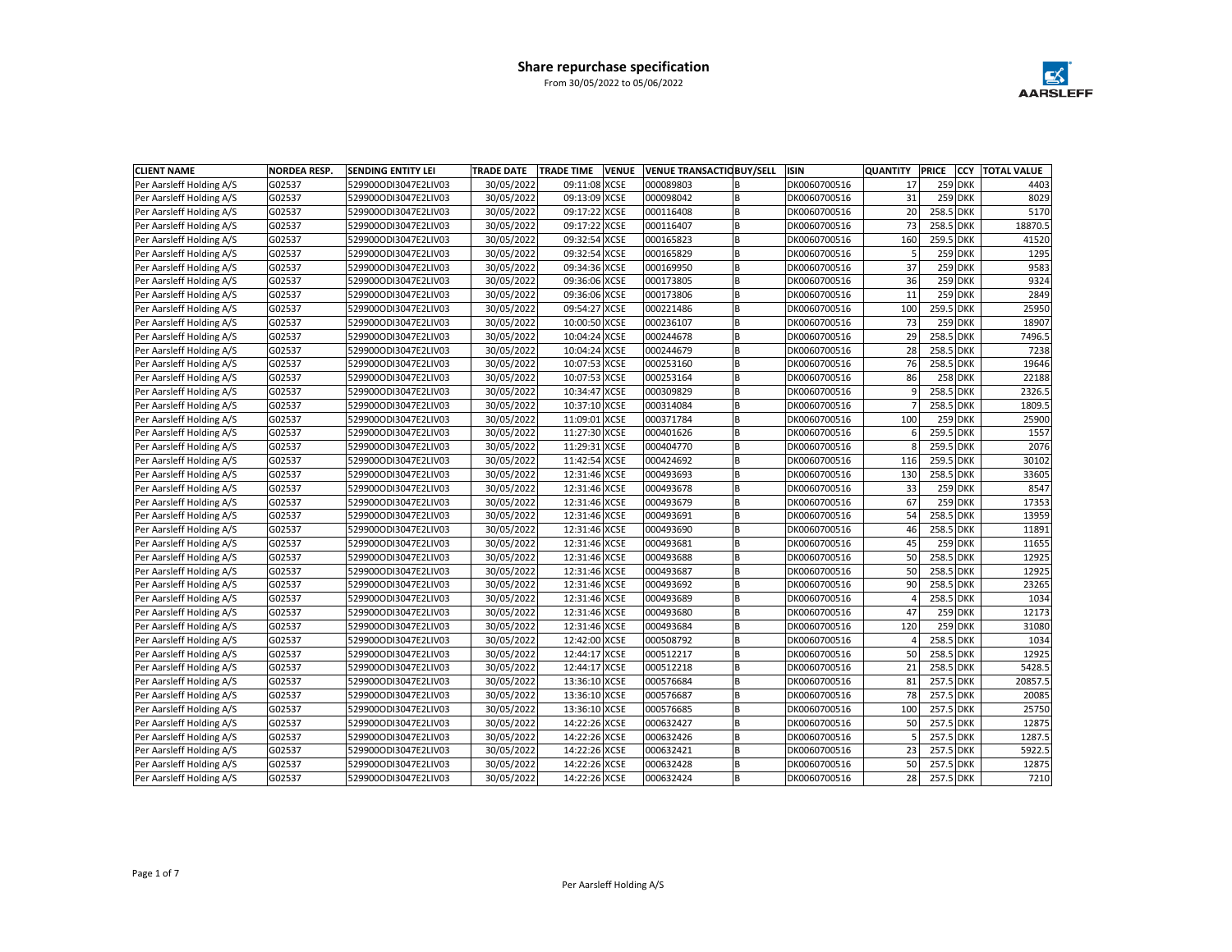

| <b>CLIENT NAME</b>       | <b>NORDEA RESP.</b> | <b>SENDING ENTITY LEI</b> | <b>TRADE DATE</b> | <b>TRADE TIME</b> | <b>VENUE</b> |           | <b>VENUE TRANSACTIC BUY/SELL</b> | <b>ISIN</b>  | <b>QUANTITY</b> | <b>PRICE</b> | <b>CCY</b>     | <b>TOTAL VALUE</b> |
|--------------------------|---------------------|---------------------------|-------------------|-------------------|--------------|-----------|----------------------------------|--------------|-----------------|--------------|----------------|--------------------|
| Per Aarsleff Holding A/S | G02537              | 529900ODI3047E2LIV03      | 30/05/2022        | 09:11:08 XCSE     |              | 000089803 | B                                | DK0060700516 | 17              |              | <b>259 DKK</b> | 4403               |
| Per Aarsleff Holding A/S | G02537              | 529900ODI3047E2LIV03      | 30/05/2022        | 09:13:09 XCSE     |              | 000098042 | B                                | DK0060700516 | 31              |              | <b>259 DKK</b> | 8029               |
| Per Aarsleff Holding A/S | G02537              | 529900ODI3047E2LIV03      | 30/05/2022        | 09:17:22 XCSE     |              | 000116408 | B                                | DK0060700516 | 20              | 258.5 DKK    |                | 5170               |
| Per Aarsleff Holding A/S | G02537              | 529900ODI3047E2LIV03      | 30/05/2022        | 09:17:22 XCSE     |              | 000116407 | <b>B</b>                         | DK0060700516 | 73              | 258.5 DKK    |                | 18870.5            |
| Per Aarsleff Holding A/S | G02537              | 529900ODI3047E2LIV03      | 30/05/2022        | 09:32:54 XCSE     |              | 000165823 | B                                | DK0060700516 | 160             | 259.5 DKK    |                | 41520              |
| Per Aarsleff Holding A/S | G02537              | 529900ODI3047E2LIV03      | 30/05/2022        | 09:32:54 XCSE     |              | 000165829 | B                                | DK0060700516 | 5               |              | <b>259 DKK</b> | 1295               |
| Per Aarsleff Holding A/S | G02537              | 529900ODI3047E2LIV03      | 30/05/2022        | 09:34:36 XCSE     |              | 000169950 | B                                | DK0060700516 | 37              |              | 259 DKK        | 9583               |
| Per Aarsleff Holding A/S | G02537              | 529900ODI3047E2LIV03      | 30/05/2022        | 09:36:06 XCSE     |              | 000173805 | B                                | DK0060700516 | 36              |              | 259 DKK        | 9324               |
| Per Aarsleff Holding A/S | G02537              | 529900ODI3047E2LIV03      | 30/05/2022        | 09:36:06 XCSE     |              | 000173806 | B                                | DK0060700516 | 11              |              | <b>259 DKK</b> | 2849               |
| Per Aarsleff Holding A/S | G02537              | 529900ODI3047E2LIV03      | 30/05/2022        | 09:54:27 XCSE     |              | 000221486 | B                                | DK0060700516 | 100             | 259.5 DKK    |                | 25950              |
| Per Aarsleff Holding A/S | G02537              | 529900ODI3047E2LIV03      | 30/05/2022        | 10:00:50 XCSE     |              | 000236107 | B                                | DK0060700516 | 73              |              | 259 DKK        | 18907              |
| Per Aarsleff Holding A/S | G02537              | 529900ODI3047E2LIV03      | 30/05/2022        | 10:04:24 XCSE     |              | 000244678 | B                                | DK0060700516 | 29              | 258.5 DKK    |                | 7496.5             |
| Per Aarsleff Holding A/S | G02537              | 529900ODI3047E2LIV03      | 30/05/2022        | 10:04:24 XCSE     |              | 000244679 | <b>B</b>                         | DK0060700516 | 28              | 258.5 DKK    |                | 7238               |
| Per Aarsleff Holding A/S | G02537              | 529900ODI3047E2LIV03      | 30/05/2022        | 10:07:53 XCSE     |              | 000253160 | <b>B</b>                         | DK0060700516 | 76              | 258.5 DKK    |                | 19646              |
| Per Aarsleff Holding A/S | G02537              | 529900ODI3047E2LIV03      | 30/05/2022        | 10:07:53 XCSE     |              | 000253164 | B                                | DK0060700516 | 86              |              | <b>258 DKK</b> | 22188              |
| Per Aarsleff Holding A/S | G02537              | 529900ODI3047E2LIV03      | 30/05/2022        | 10:34:47 XCSE     |              | 000309829 | <b>B</b>                         | DK0060700516 | 9               | 258.5 DKK    |                | 2326.5             |
| Per Aarsleff Holding A/S | G02537              | 529900ODI3047E2LIV03      | 30/05/2022        | 10:37:10 XCSE     |              | 000314084 | B                                | DK0060700516 |                 | 258.5 DKK    |                | 1809.5             |
| Per Aarsleff Holding A/S | G02537              | 529900ODI3047E2LIV03      | 30/05/2022        | 11:09:01 XCSE     |              | 000371784 | B                                | DK0060700516 | 100             |              | 259 DKK        | 25900              |
| Per Aarsleff Holding A/S | G02537              | 529900ODI3047E2LIV03      | 30/05/2022        | 11:27:30 XCSE     |              | 000401626 | <b>B</b>                         | DK0060700516 | 6               | 259.5 DKK    |                | 1557               |
| Per Aarsleff Holding A/S | G02537              | 529900ODI3047E2LIV03      | 30/05/2022        | 11:29:31 XCSE     |              | 000404770 | <b>B</b>                         | DK0060700516 | 8               | 259.5 DKK    |                | 2076               |
| Per Aarsleff Holding A/S | G02537              | 529900ODI3047E2LIV03      | 30/05/2022        | 11:42:54 XCSE     |              | 000424692 | B                                | DK0060700516 | 116             | 259.5 DKK    |                | 30102              |
| Per Aarsleff Holding A/S | G02537              | 529900ODI3047E2LIV03      | 30/05/2022        | 12:31:46 XCSE     |              | 000493693 | B                                | DK0060700516 | 130             | 258.5 DKK    |                | 33605              |
| Per Aarsleff Holding A/S | G02537              | 529900ODI3047E2LIV03      | 30/05/2022        | 12:31:46 XCSE     |              | 000493678 | B                                | DK0060700516 | 33              |              | <b>259 DKK</b> | 8547               |
| Per Aarsleff Holding A/S | G02537              | 529900ODI3047E2LIV03      | 30/05/2022        | 12:31:46 XCSE     |              | 000493679 | B                                | DK0060700516 | 67              |              | <b>259 DKK</b> | 17353              |
| Per Aarsleff Holding A/S | G02537              | 529900ODI3047E2LIV03      | 30/05/2022        | 12:31:46 XCSE     |              | 000493691 | B                                | DK0060700516 | 54              | 258.5 DKK    |                | 13959              |
| Per Aarsleff Holding A/S | G02537              | 529900ODI3047E2LIV03      | 30/05/2022        | 12:31:46 XCSE     |              | 000493690 | B                                | DK0060700516 | 46              | 258.5 DKK    |                | 11891              |
| Per Aarsleff Holding A/S | G02537              | 529900ODI3047E2LIV03      | 30/05/2022        | 12:31:46 XCSE     |              | 000493681 | B                                | DK0060700516 | 45              |              | 259 DKK        | 11655              |
| Per Aarsleff Holding A/S | G02537              | 529900ODI3047E2LIV03      | 30/05/2022        | 12:31:46 XCSE     |              | 000493688 | B                                | DK0060700516 | 50              | 258.5 DKK    |                | 12925              |
| Per Aarsleff Holding A/S | G02537              | 529900ODI3047E2LIV03      | 30/05/2022        | 12:31:46 XCSE     |              | 000493687 | B                                | DK0060700516 | 50              | 258.5 DKK    |                | 12925              |
| Per Aarsleff Holding A/S | G02537              | 529900ODI3047E2LIV03      | 30/05/2022        | 12:31:46 XCSE     |              | 000493692 | B                                | DK0060700516 | 90              | 258.5 DKK    |                | 23265              |
| Per Aarsleff Holding A/S | G02537              | 529900ODI3047E2LIV03      | 30/05/2022        | 12:31:46 XCSE     |              | 000493689 | B                                | DK0060700516 | $\overline{4}$  | 258.5 DKK    |                | 1034               |
| Per Aarsleff Holding A/S | G02537              | 529900ODI3047E2LIV03      | 30/05/2022        | 12:31:46 XCSE     |              | 000493680 | B                                | DK0060700516 | 47              |              | <b>259 DKK</b> | 12173              |
| Per Aarsleff Holding A/S | G02537              | 529900ODI3047E2LIV03      | 30/05/2022        | 12:31:46 XCSE     |              | 000493684 | B                                | DK0060700516 | 120             |              | <b>259 DKK</b> | 31080              |
| Per Aarsleff Holding A/S | G02537              | 529900ODI3047E2LIV03      | 30/05/2022        | 12:42:00 XCSE     |              | 000508792 | <b>B</b>                         | DK0060700516 | $\overline{4}$  | 258.5 DKK    |                | 1034               |
| Per Aarsleff Holding A/S | G02537              | 529900ODI3047E2LIV03      | 30/05/2022        | 12:44:17 XCSE     |              | 000512217 | B                                | DK0060700516 | 50              | 258.5 DKK    |                | 12925              |
| Per Aarsleff Holding A/S | G02537              | 529900ODI3047E2LIV03      | 30/05/2022        | 12:44:17 XCSE     |              | 000512218 | <b>B</b>                         | DK0060700516 | 21              | 258.5 DKK    |                | 5428.5             |
| Per Aarsleff Holding A/S | G02537              | 529900ODI3047E2LIV03      | 30/05/2022        | 13:36:10 XCSE     |              | 000576684 | <b>B</b>                         | DK0060700516 | 81              | 257.5 DKK    |                | 20857.5            |
| Per Aarsleff Holding A/S | G02537              | 529900ODI3047E2LIV03      | 30/05/2022        | 13:36:10 XCSE     |              | 000576687 | B                                | DK0060700516 | 78              | 257.5 DKK    |                | 20085              |
| Per Aarsleff Holding A/S | G02537              | 529900ODI3047E2LIV03      | 30/05/2022        | 13:36:10 XCSE     |              | 000576685 | B                                | DK0060700516 | 100             | 257.5 DKK    |                | 25750              |
| Per Aarsleff Holding A/S | G02537              | 529900ODI3047E2LIV03      | 30/05/2022        | 14:22:26 XCSE     |              | 000632427 | B                                | DK0060700516 | 50              | 257.5 DKK    |                | 12875              |
| Per Aarsleff Holding A/S | G02537              | 529900ODI3047E2LIV03      | 30/05/2022        | 14:22:26 XCSE     |              | 000632426 | B                                | DK0060700516 | 5               | 257.5 DKK    |                | 1287.5             |
| Per Aarsleff Holding A/S | G02537              | 529900ODI3047E2LIV03      | 30/05/2022        | 14:22:26 XCSE     |              | 000632421 | B                                | DK0060700516 | 23              | 257.5 DKK    |                | 5922.5             |
| Per Aarsleff Holding A/S | G02537              | 529900ODI3047E2LIV03      | 30/05/2022        | 14:22:26 XCSE     |              | 000632428 | B                                | DK0060700516 | 50              | 257.5 DKK    |                | 12875              |
| Per Aarsleff Holding A/S | G02537              | 529900ODI3047E2LIV03      | 30/05/2022        | 14:22:26 XCSE     |              | 000632424 | lв                               | DK0060700516 | 28              | 257.5 DKK    |                | 7210               |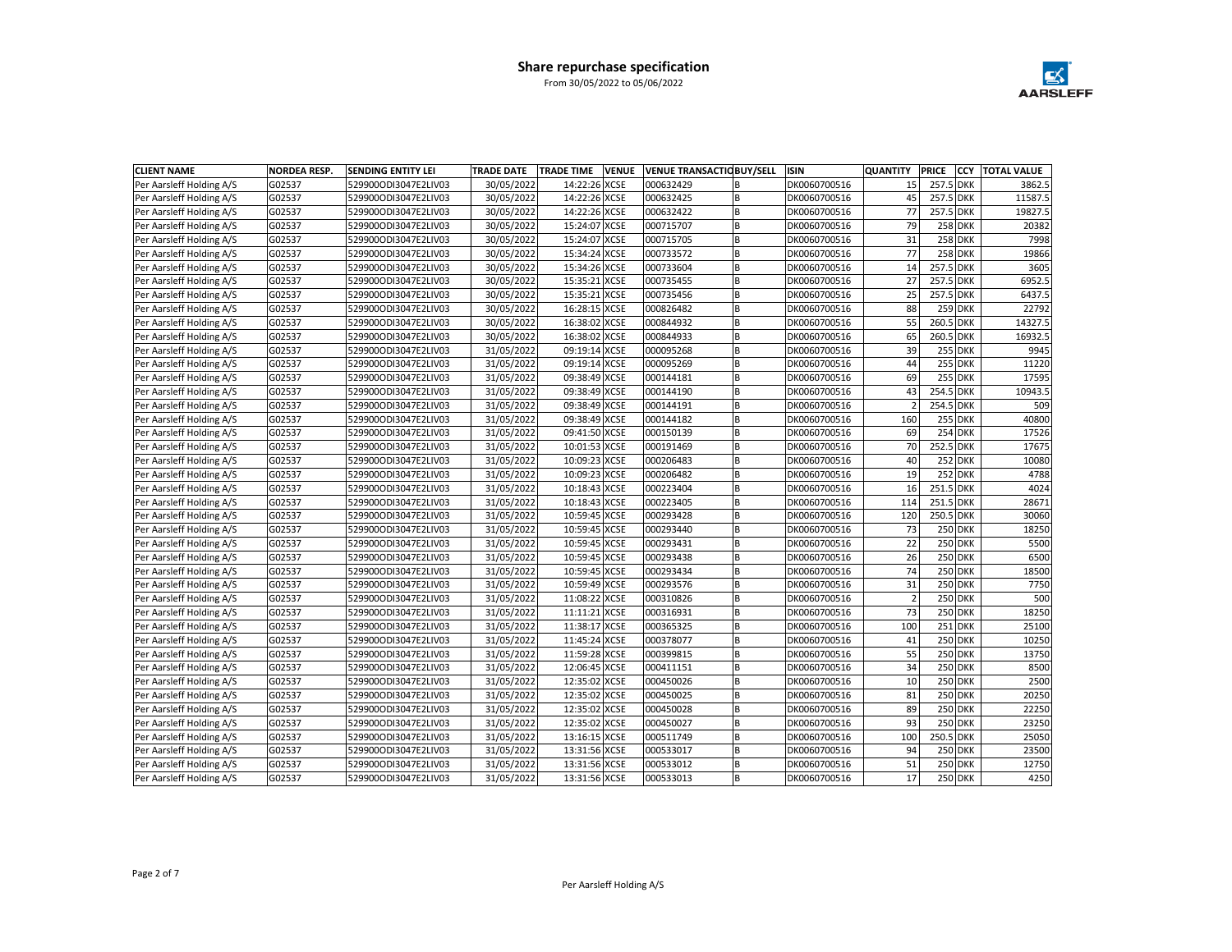

| <b>CLIENT NAME</b>       | <b>NORDEA RESP.</b> | <b>SENDING ENTITY LEI</b> | <b>TRADE DATE</b> | <b>VENUE</b><br><b>TRADE TIME</b> |           | <b>VENUE TRANSACTIC BUY/SELL</b> | <b>ISIN</b>  | <b>QUANTITY</b> | <b>PRICE</b> | lccy           | <b>TOTAL VALUE</b> |
|--------------------------|---------------------|---------------------------|-------------------|-----------------------------------|-----------|----------------------------------|--------------|-----------------|--------------|----------------|--------------------|
| Per Aarsleff Holding A/S | G02537              | 529900ODI3047E2LIV03      | 30/05/2022        | 14:22:26 XCSE                     | 000632429 |                                  | DK0060700516 | 15              | 257.5 DKK    |                | 3862.5             |
| Per Aarsleff Holding A/S | G02537              | 529900ODI3047E2LIV03      | 30/05/2022        | 14:22:26 XCSE                     | 000632425 | B                                | DK0060700516 | 45              | 257.5 DKK    |                | 11587.5            |
| Per Aarsleff Holding A/S | G02537              | 529900ODI3047E2LIV03      | 30/05/2022        | 14:22:26 XCSE                     | 000632422 | B                                | DK0060700516 | 77              | 257.5 DKK    |                | 19827.5            |
| Per Aarsleff Holding A/S | G02537              | 529900ODI3047E2LIV03      | 30/05/2022        | 15:24:07 XCSE                     | 000715707 | <b>B</b>                         | DK0060700516 | 79              |              | <b>258 DKK</b> | 20382              |
| Per Aarsleff Holding A/S | G02537              | 529900ODI3047E2LIV03      | 30/05/2022        | 15:24:07 XCSE                     | 000715705 | B                                | DK0060700516 | 31              |              | <b>258 DKK</b> | 7998               |
| Per Aarsleff Holding A/S | G02537              | 529900ODI3047E2LIV03      | 30/05/2022        | 15:34:24 XCSE                     | 000733572 | B                                | DK0060700516 | 77              |              | 258 DKK        | 19866              |
| Per Aarsleff Holding A/S | G02537              | 529900ODI3047E2LIV03      | 30/05/2022        | 15:34:26 XCSE                     | 000733604 | B                                | DK0060700516 | 14              | 257.5 DKK    |                | 3605               |
| Per Aarsleff Holding A/S | G02537              | 529900ODI3047E2LIV03      | 30/05/2022        | 15:35:21 XCSE                     | 000735455 | B                                | DK0060700516 | 27              | 257.5 DKK    |                | 6952.5             |
| Per Aarsleff Holding A/S | G02537              | 529900ODI3047E2LIV03      | 30/05/2022        | 15:35:21 XCSE                     | 000735456 | B                                | DK0060700516 | 25              | 257.5 DKK    |                | 6437.5             |
| Per Aarsleff Holding A/S | G02537              | 529900ODI3047E2LIV03      | 30/05/2022        | 16:28:15 XCSE                     | 000826482 | B                                | DK0060700516 | 88              |              | <b>259 DKK</b> | 22792              |
| Per Aarsleff Holding A/S | G02537              | 529900ODI3047E2LIV03      | 30/05/2022        | 16:38:02 XCSE                     | 000844932 | B                                | DK0060700516 | 55              | 260.5 DKK    |                | 14327.5            |
| Per Aarsleff Holding A/S | G02537              | 529900ODI3047E2LIV03      | 30/05/2022        | 16:38:02 XCSE                     | 000844933 | B                                | DK0060700516 | 65              | 260.5 DKK    |                | 16932.5            |
| Per Aarsleff Holding A/S | G02537              | 529900ODI3047E2LIV03      | 31/05/2022        | 09:19:14 XCSE                     | 000095268 | B                                | DK0060700516 | 39              |              | <b>255 DKK</b> | 9945               |
| Per Aarsleff Holding A/S | G02537              | 529900ODI3047E2LIV03      | 31/05/2022        | 09:19:14 XCSE                     | 000095269 | B                                | DK0060700516 | 44              |              | <b>255 DKK</b> | 11220              |
| Per Aarsleff Holding A/S | G02537              | 529900ODI3047E2LIV03      | 31/05/2022        | 09:38:49 XCSE                     | 000144181 | B                                | DK0060700516 | 69              |              | <b>255 DKK</b> | 17595              |
| Per Aarsleff Holding A/S | G02537              | 529900ODI3047E2LIV03      | 31/05/2022        | 09:38:49 XCSE                     | 000144190 | <b>B</b>                         | DK0060700516 | 43              | 254.5 DKK    |                | 10943.5            |
| Per Aarsleff Holding A/S | G02537              | 529900ODI3047E2LIV03      | 31/05/2022        | 09:38:49 XCSE                     | 000144191 | <b>B</b>                         | DK0060700516 |                 | 254.5 DKK    |                | 509                |
| Per Aarsleff Holding A/S | G02537              | 529900ODI3047E2LIV03      | 31/05/2022        | 09:38:49 XCSE                     | 000144182 | B                                | DK0060700516 | 160             |              | <b>255 DKK</b> | 40800              |
| Per Aarsleff Holding A/S | G02537              | 529900ODI3047E2LIV03      | 31/05/2022        | 09:41:50 XCSE                     | 000150139 | B                                | DK0060700516 | 69              |              | 254 DKK        | 17526              |
| Per Aarsleff Holding A/S | G02537              | 529900ODI3047E2LIV03      | 31/05/2022        | 10:01:53 XCSE                     | 000191469 | B                                | DK0060700516 | 70              | 252.5 DKK    |                | 17675              |
| Per Aarsleff Holding A/S | G02537              | 529900ODI3047E2LIV03      | 31/05/2022        | 10:09:23 XCSE                     | 000206483 | B                                | DK0060700516 | 40              |              | <b>252 DKK</b> | 10080              |
| Per Aarsleff Holding A/S | G02537              | 529900ODI3047E2LIV03      | 31/05/2022        | 10:09:23 XCSE                     | 000206482 | <b>B</b>                         | DK0060700516 | 19              |              | <b>252 DKK</b> | 4788               |
| Per Aarsleff Holding A/S | G02537              | 529900ODI3047E2LIV03      | 31/05/2022        | 10:18:43 XCSE                     | 000223404 | B                                | DK0060700516 | 16              | 251.5 DKK    |                | 4024               |
| Per Aarsleff Holding A/S | G02537              | 529900ODI3047E2LIV03      | 31/05/2022        | 10:18:43 XCSE                     | 000223405 | B                                | DK0060700516 | 114             | 251.5 DKK    |                | 28671              |
| Per Aarsleff Holding A/S | G02537              | 529900ODI3047E2LIV03      | 31/05/2022        | 10:59:45 XCSE                     | 000293428 | <b>B</b>                         | DK0060700516 | 120             | 250.5 DKK    |                | 30060              |
| Per Aarsleff Holding A/S | G02537              | 529900ODI3047E2LIV03      | 31/05/2022        | 10:59:45 XCSE                     | 000293440 | B                                | DK0060700516 | 73              |              | <b>250 DKK</b> | 18250              |
| Per Aarsleff Holding A/S | G02537              | 529900ODI3047E2LIV03      | 31/05/2022        | 10:59:45 XCSE                     | 000293431 | B                                | DK0060700516 | 22              |              | <b>250 DKK</b> | 5500               |
| Per Aarsleff Holding A/S | G02537              | 529900ODI3047E2LIV03      | 31/05/2022        | 10:59:45 XCSE                     | 000293438 | B                                | DK0060700516 | 26              |              | <b>250 DKK</b> | 6500               |
| Per Aarsleff Holding A/S | G02537              | 529900ODI3047E2LIV03      | 31/05/2022        | 10:59:45 XCSE                     | 000293434 | B                                | DK0060700516 | 74              |              | <b>250 DKK</b> | 18500              |
| Per Aarsleff Holding A/S | G02537              | 529900ODI3047E2LIV03      | 31/05/2022        | 10:59:49 XCSE                     | 000293576 | B                                | DK0060700516 | 31              |              | <b>250 DKK</b> | 7750               |
| Per Aarsleff Holding A/S | G02537              | 529900ODI3047E2LIV03      | 31/05/2022        | 11:08:22 XCSE                     | 000310826 | <b>B</b>                         | DK0060700516 | $\overline{2}$  |              | 250 DKK        | 500                |
| Per Aarsleff Holding A/S | G02537              | 529900ODI3047E2LIV03      | 31/05/2022        | 11:11:21 XCSE                     | 000316931 | <b>B</b>                         | DK0060700516 | 73              |              | <b>250 DKK</b> | 18250              |
| Per Aarsleff Holding A/S | G02537              | 529900ODI3047E2LIV03      | 31/05/2022        | 11:38:17 XCSE                     | 000365325 | B                                | DK0060700516 | 100             |              | 251 DKK        | 25100              |
| Per Aarsleff Holding A/S | G02537              | 529900ODI3047E2LIV03      | 31/05/2022        | 11:45:24 XCSE                     | 000378077 | B                                | DK0060700516 | 41              |              | <b>250 DKK</b> | 10250              |
| Per Aarsleff Holding A/S | G02537              | 529900ODI3047E2LIV03      | 31/05/2022        | 11:59:28 XCSE                     | 000399815 | B                                | DK0060700516 | 55              |              | <b>250 DKK</b> | 13750              |
| Per Aarsleff Holding A/S | G02537              | 529900ODI3047E2LIV03      | 31/05/2022        | 12:06:45 XCSE                     | 000411151 | B                                | DK0060700516 | 34              |              | <b>250 DKK</b> | 8500               |
| Per Aarsleff Holding A/S | G02537              | 529900ODI3047E2LIV03      | 31/05/2022        | 12:35:02 XCSE                     | 000450026 | <b>B</b>                         | DK0060700516 | 10              |              | <b>250 DKK</b> | 2500               |
| Per Aarsleff Holding A/S | G02537              | 529900ODI3047E2LIV03      | 31/05/2022        | 12:35:02 XCSE                     | 000450025 | B                                | DK0060700516 | 81              |              | <b>250 DKK</b> | 20250              |
| Per Aarsleff Holding A/S | G02537              | 529900ODI3047E2LIV03      | 31/05/2022        | 12:35:02 XCSE                     | 000450028 | B                                | DK0060700516 | 89              |              | <b>250 DKK</b> | 22250              |
| Per Aarsleff Holding A/S | G02537              | 529900ODI3047E2LIV03      | 31/05/2022        | 12:35:02 XCSE                     | 000450027 | B                                | DK0060700516 | 93              |              | 250 DKK        | 23250              |
| Per Aarsleff Holding A/S | G02537              | 529900ODI3047E2LIV03      | 31/05/2022        | 13:16:15 XCSE                     | 000511749 | B                                | DK0060700516 | 100             | 250.5 DKK    |                | 25050              |
| Per Aarsleff Holding A/S | G02537              | 529900ODI3047E2LIV03      | 31/05/2022        | 13:31:56 XCSE                     | 000533017 | B                                | DK0060700516 | 94              |              | <b>250 DKK</b> | 23500              |
| Per Aarsleff Holding A/S | G02537              | 529900ODI3047E2LIV03      | 31/05/2022        | 13:31:56 XCSE                     | 000533012 | B                                | DK0060700516 | 51              |              | <b>250 DKK</b> | 12750              |
| Per Aarsleff Holding A/S | G02537              | 529900ODI3047E2LIV03      | 31/05/2022        | 13:31:56 XCSE                     | 000533013 | lв                               | DK0060700516 | 17              |              | <b>250 DKK</b> | 4250               |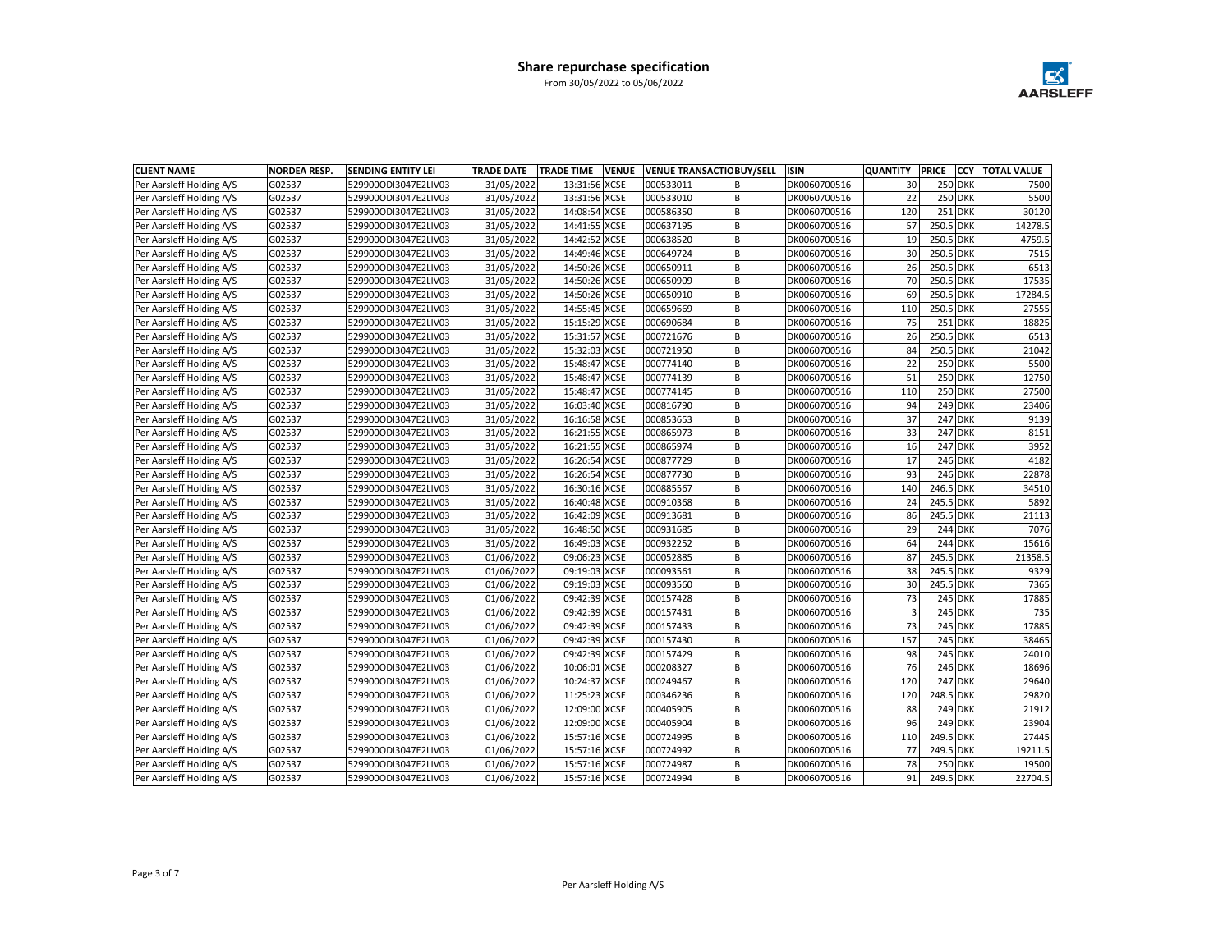

| <b>CLIENT NAME</b>       | <b>NORDEA RESP.</b> | <b>SENDING ENTITY LEI</b> | <b>TRADE DATE</b> | <b>TRADE TIME</b><br><b>VENUE</b> |           | <b>VENUE TRANSACTIC BUY/SELL</b> | <b>ISIN</b>  | <b>QUANTITY</b> | <b>PRICE</b> | <b>CCY</b>     | <b>TOTAL VALUE</b> |
|--------------------------|---------------------|---------------------------|-------------------|-----------------------------------|-----------|----------------------------------|--------------|-----------------|--------------|----------------|--------------------|
| Per Aarsleff Holding A/S | G02537              | 529900ODI3047E2LIV03      | 31/05/2022        | 13:31:56 XCSE                     | 000533011 | B                                | DK0060700516 | 30              |              | 250 DKK        | 7500               |
| Per Aarsleff Holding A/S | G02537              | 529900ODI3047E2LIV03      | 31/05/2022        | 13:31:56 XCSE                     | 000533010 | B                                | DK0060700516 | 22              |              | 250 DKK        | 5500               |
| Per Aarsleff Holding A/S | G02537              | 529900ODI3047E2LIV03      | 31/05/2022        | 14:08:54 XCSE                     | 000586350 | B                                | DK0060700516 | 120             |              | 251 DKK        | 30120              |
| Per Aarsleff Holding A/S | G02537              | 529900ODI3047E2LIV03      | 31/05/2022        | 14:41:55 XCSE                     | 000637195 | <b>B</b>                         | DK0060700516 | 57              | 250.5 DKK    |                | 14278.5            |
| Per Aarsleff Holding A/S | G02537              | 529900ODI3047E2LIV03      | 31/05/2022        | 14:42:52 XCSE                     | 000638520 | <b>B</b>                         | DK0060700516 | 19              | 250.5 DKK    |                | 4759.5             |
| Per Aarsleff Holding A/S | G02537              | 529900ODI3047E2LIV03      | 31/05/2022        | 14:49:46 XCSE                     | 000649724 | B                                | DK0060700516 | 30              | 250.5 DKK    |                | 7515               |
| Per Aarsleff Holding A/S | G02537              | 529900ODI3047E2LIV03      | 31/05/2022        | 14:50:26 XCSE                     | 000650911 | B                                | DK0060700516 | 26              | 250.5 DKK    |                | 6513               |
| Per Aarsleff Holding A/S | G02537              | 529900ODI3047E2LIV03      | 31/05/2022        | 14:50:26 XCSE                     | 000650909 | B                                | DK0060700516 | 70              | 250.5 DKK    |                | 17535              |
| Per Aarsleff Holding A/S | G02537              | 529900ODI3047E2LIV03      | 31/05/2022        | 14:50:26 XCSE                     | 000650910 | B                                | DK0060700516 | 69              | 250.5 DKK    |                | 17284.5            |
| Per Aarsleff Holding A/S | G02537              | 529900ODI3047E2LIV03      | 31/05/2022        | 14:55:45 XCSE                     | 000659669 | B                                | DK0060700516 | 110             | 250.5 DKK    |                | 27555              |
| Per Aarsleff Holding A/S | G02537              | 529900ODI3047E2LIV03      | 31/05/2022        | 15:15:29 XCSE                     | 000690684 | B                                | DK0060700516 | 75              |              | 251 DKK        | 18825              |
| Per Aarsleff Holding A/S | G02537              | 529900ODI3047E2LIV03      | 31/05/2022        | 15:31:57 XCSE                     | 000721676 | B                                | DK0060700516 | 26              | 250.5 DKK    |                | 6513               |
| Per Aarsleff Holding A/S | G02537              | 529900ODI3047E2LIV03      | 31/05/2022        | 15:32:03 XCSE                     | 000721950 | <b>B</b>                         | DK0060700516 | 84              | 250.5 DKK    |                | 21042              |
| Per Aarsleff Holding A/S | G02537              | 529900ODI3047E2LIV03      | 31/05/2022        | 15:48:47 XCSE                     | 000774140 | <b>B</b>                         | DK0060700516 | 22              |              | <b>250 DKK</b> | 5500               |
| Per Aarsleff Holding A/S | G02537              | 529900ODI3047E2LIV03      | 31/05/2022        | 15:48:47 XCSE                     | 000774139 | B                                | DK0060700516 | 51              |              | 250 DKK        | 12750              |
| Per Aarsleff Holding A/S | G02537              | 529900ODI3047E2LIV03      | 31/05/2022        | 15:48:47 XCSE                     | 000774145 | <b>B</b>                         | DK0060700516 | 110             |              | <b>250 DKK</b> | 27500              |
| Per Aarsleff Holding A/S | G02537              | 529900ODI3047E2LIV03      | 31/05/2022        | 16:03:40 XCSE                     | 000816790 | B                                | DK0060700516 | 94              |              | 249 DKK        | 23406              |
| Per Aarsleff Holding A/S | G02537              | 529900ODI3047E2LIV03      | 31/05/2022        | 16:16:58 XCSE                     | 000853653 | B                                | DK0060700516 | 37              |              | <b>247 DKK</b> | 9139               |
| Per Aarsleff Holding A/S | G02537              | 529900ODI3047E2LIV03      | 31/05/2022        | 16:21:55 XCSE                     | 000865973 | <b>B</b>                         | DK0060700516 | 33              |              | <b>247 DKK</b> | 8151               |
| Per Aarsleff Holding A/S | G02537              | 529900ODI3047E2LIV03      | 31/05/2022        | 16:21:55 XCSE                     | 000865974 | <b>B</b>                         | DK0060700516 | 16              |              | 247 DKK        | 3952               |
| Per Aarsleff Holding A/S | G02537              | 529900ODI3047E2LIV03      | 31/05/2022        | 16:26:54 XCSE                     | 000877729 | B                                | DK0060700516 | 17              |              | 246 DKK        | 4182               |
| Per Aarsleff Holding A/S | G02537              | 529900ODI3047E2LIV03      | 31/05/2022        | 16:26:54 XCSE                     | 000877730 | B                                | DK0060700516 | 93              |              | 246 DKK        | 22878              |
| Per Aarsleff Holding A/S | G02537              | 529900ODI3047E2LIV03      | 31/05/2022        | 16:30:16 XCSE                     | 000885567 | B                                | DK0060700516 | 140             | 246.5 DKK    |                | 34510              |
| Per Aarsleff Holding A/S | G02537              | 529900ODI3047E2LIV03      | 31/05/2022        | 16:40:48 XCSE                     | 000910368 | B                                | DK0060700516 | 24              | 245.5 DKK    |                | 5892               |
| Per Aarsleff Holding A/S | G02537              | 529900ODI3047E2LIV03      | 31/05/2022        | 16:42:09 XCSE                     | 000913681 | <b>B</b>                         | DK0060700516 | 86              | 245.5 DKK    |                | 21113              |
| Per Aarsleff Holding A/S | G02537              | 529900ODI3047E2LIV03      | 31/05/2022        | 16:48:50 XCSE                     | 000931685 | B                                | DK0060700516 | 29              |              | 244 DKK        | 7076               |
| Per Aarsleff Holding A/S | G02537              | 529900ODI3047E2LIV03      | 31/05/2022        | 16:49:03 XCSE                     | 000932252 | B                                | DK0060700516 | 64              |              | 244 DKK        | 15616              |
| Per Aarsleff Holding A/S | G02537              | 529900ODI3047E2LIV03      | 01/06/2022        | 09:06:23 XCSE                     | 000052885 | <b>B</b>                         | DK0060700516 | 87              | 245.5 DKK    |                | 21358.5            |
| Per Aarsleff Holding A/S | G02537              | 529900ODI3047E2LIV03      | 01/06/2022        | 09:19:03 XCSE                     | 000093561 | B                                | DK0060700516 | 38              | 245.5 DKK    |                | 9329               |
| Per Aarsleff Holding A/S | G02537              | 529900ODI3047E2LIV03      | 01/06/2022        | 09:19:03 XCSE                     | 000093560 | B                                | DK0060700516 | 30              | 245.5 DKK    |                | 7365               |
| Per Aarsleff Holding A/S | G02537              | 529900ODI3047E2LIV03      | 01/06/2022        | 09:42:39 XCSE                     | 000157428 | <b>B</b>                         | DK0060700516 | 73              |              | 245 DKK        | 17885              |
| Per Aarsleff Holding A/S | G02537              | 529900ODI3047E2LIV03      | 01/06/2022        | 09:42:39 XCSE                     | 000157431 | B                                | DK0060700516 | $\overline{3}$  |              | 245 DKK        | 735                |
| Per Aarsleff Holding A/S | G02537              | 529900ODI3047E2LIV03      | 01/06/2022        | 09:42:39 XCSE                     | 000157433 |                                  | DK0060700516 | 73              |              | 245 DKK        | 17885              |
| Per Aarsleff Holding A/S | G02537              | 529900ODI3047E2LIV03      | 01/06/2022        | 09:42:39 XCSE                     | 000157430 | <b>B</b>                         | DK0060700516 | 157             |              | 245 DKK        | 38465              |
| Per Aarsleff Holding A/S | G02537              | 529900ODI3047E2LIV03      | 01/06/2022        | 09:42:39 XCSE                     | 000157429 | B                                | DK0060700516 | 98              |              | 245 DKK        | 24010              |
| Per Aarsleff Holding A/S | G02537              | 529900ODI3047E2LIV03      | 01/06/2022        | 10:06:01 XCSE                     | 000208327 | <b>B</b>                         | DK0060700516 | 76              |              | 246 DKK        | 18696              |
| Per Aarsleff Holding A/S | G02537              | 529900ODI3047E2LIV03      | 01/06/2022        | 10:24:37 XCSE                     | 000249467 | <b>B</b>                         | DK0060700516 | 120             |              | <b>247 DKK</b> | 29640              |
| Per Aarsleff Holding A/S | G02537              | 529900ODI3047E2LIV03      | 01/06/2022        | 11:25:23 XCSE                     | 000346236 | B                                | DK0060700516 | 120             | 248.5 DKK    |                | 29820              |
| Per Aarsleff Holding A/S | G02537              | 529900ODI3047E2LIV03      | 01/06/2022        | 12:09:00 XCSE                     | 000405905 | B                                | DK0060700516 | 88              |              | 249 DKK        | 21912              |
| Per Aarsleff Holding A/S | G02537              | 529900ODI3047E2LIV03      | 01/06/2022        | 12:09:00 XCSE                     | 000405904 | B                                | DK0060700516 | 96              |              | 249 DKK        | 23904              |
| Per Aarsleff Holding A/S | G02537              | 529900ODI3047E2LIV03      | 01/06/2022        | 15:57:16 XCSE                     | 000724995 | B                                | DK0060700516 | 110             | 249.5 DKK    |                | 27445              |
| Per Aarsleff Holding A/S | G02537              | 529900ODI3047E2LIV03      | 01/06/2022        | 15:57:16 XCSE                     | 000724992 | <b>B</b>                         | DK0060700516 | 77              | 249.5 DKK    |                | 19211.5            |
| Per Aarsleff Holding A/S | G02537              | 529900ODI3047E2LIV03      | 01/06/2022        | 15:57:16 XCSE                     | 000724987 |                                  | DK0060700516 | 78              |              | <b>250 DKK</b> | 19500              |
| Per Aarsleff Holding A/S | G02537              | 529900ODI3047E2LIV03      | 01/06/2022        | 15:57:16 XCSE                     | 000724994 | B                                | DK0060700516 | 91              | 249.5 DKK    |                | 22704.5            |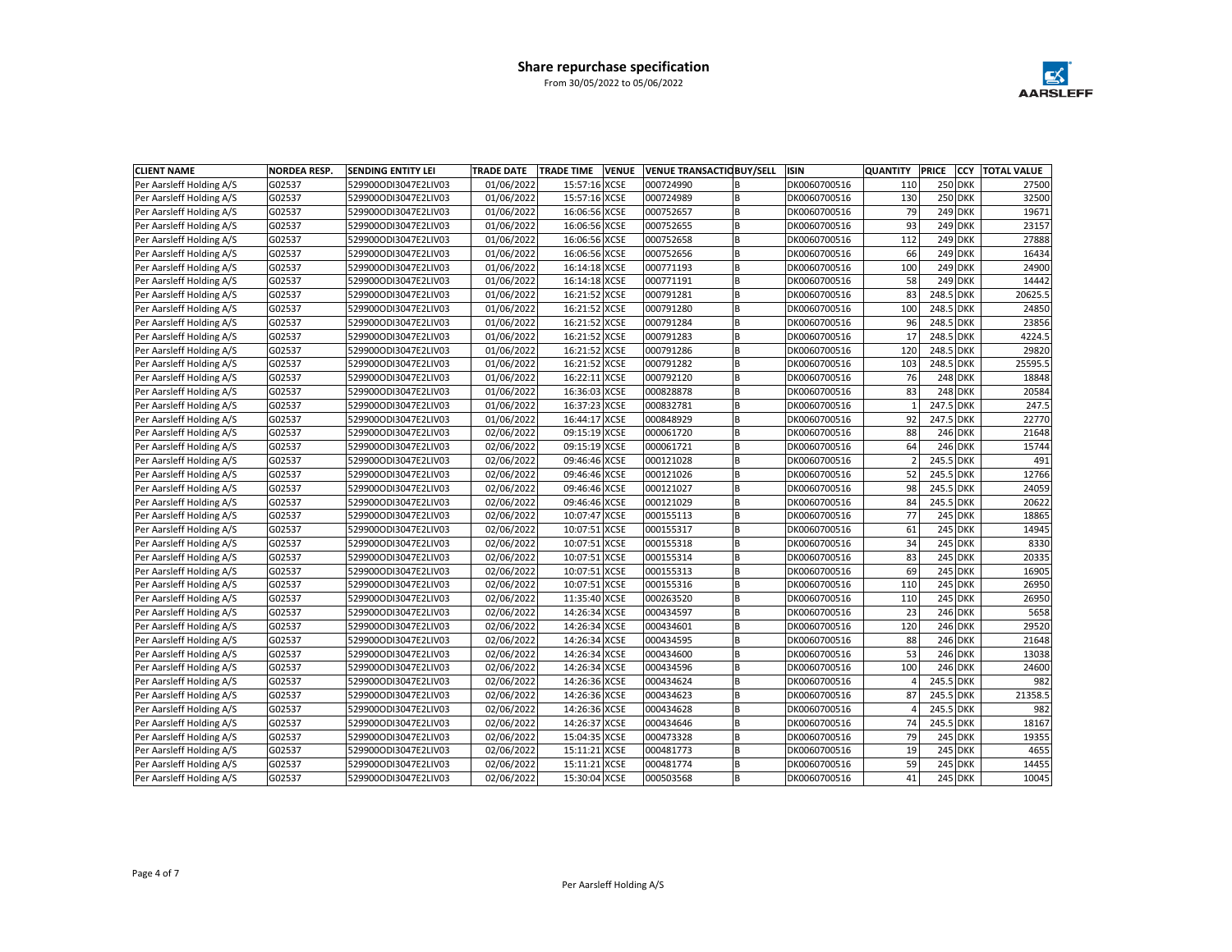

| <b>CLIENT NAME</b>       | <b>NORDEA RESP.</b> | <b>SENDING ENTITY LEI</b> | <b>TRADE DATE</b> | <b>VENUE</b><br><b>TRADE TIME</b> |           | <b>VENUE TRANSACTIC BUY/SELL</b> | <b>ISIN</b>  | <b>QUANTITY</b> | <b>PRICE</b> | lccy           | <b>TOTAL VALUE</b> |
|--------------------------|---------------------|---------------------------|-------------------|-----------------------------------|-----------|----------------------------------|--------------|-----------------|--------------|----------------|--------------------|
| Per Aarsleff Holding A/S | G02537              | 529900ODI3047E2LIV03      | 01/06/2022        | 15:57:16 XCSE                     | 000724990 |                                  | DK0060700516 | 110             |              | <b>250 DKK</b> | 27500              |
| Per Aarsleff Holding A/S | G02537              | 529900ODI3047E2LIV03      | 01/06/2022        | 15:57:16 XCSE                     | 000724989 | B                                | DK0060700516 | 130             |              | <b>250 DKK</b> | 32500              |
| Per Aarsleff Holding A/S | G02537              | 529900ODI3047E2LIV03      | 01/06/2022        | 16:06:56 XCSE                     | 000752657 | B                                | DK0060700516 | 79              |              | 249 DKK        | 19671              |
| Per Aarsleff Holding A/S | G02537              | 529900ODI3047E2LIV03      | 01/06/2022        | 16:06:56 XCSE                     | 000752655 | <b>B</b>                         | DK0060700516 | 93              |              | 249 DKK        | 23157              |
| Per Aarsleff Holding A/S | G02537              | 529900ODI3047E2LIV03      | 01/06/2022        | 16:06:56 XCSE                     | 000752658 | B                                | DK0060700516 | 112             |              | 249 DKK        | 27888              |
| Per Aarsleff Holding A/S | G02537              | 529900ODI3047E2LIV03      | 01/06/2022        | 16:06:56 XCSE                     | 000752656 | B                                | DK0060700516 | 66              |              | <b>249 DKK</b> | 16434              |
| Per Aarsleff Holding A/S | G02537              | 529900ODI3047E2LIV03      | 01/06/2022        | 16:14:18 XCSE                     | 000771193 | B                                | DK0060700516 | 100             |              | 249 DKK        | 24900              |
| Per Aarsleff Holding A/S | G02537              | 529900ODI3047E2LIV03      | 01/06/2022        | 16:14:18 XCSE                     | 000771191 | B                                | DK0060700516 | 58              |              | 249 DKK        | 14442              |
| Per Aarsleff Holding A/S | G02537              | 529900ODI3047E2LIV03      | 01/06/2022        | 16:21:52 XCSE                     | 000791281 | B                                | DK0060700516 | 83              | 248.5 DKK    |                | 20625.5            |
| Per Aarsleff Holding A/S | G02537              | 529900ODI3047E2LIV03      | 01/06/2022        | 16:21:52 XCSE                     | 000791280 | B                                | DK0060700516 | 100             | 248.5 DKK    |                | 24850              |
| Per Aarsleff Holding A/S | G02537              | 529900ODI3047E2LIV03      | 01/06/2022        | 16:21:52 XCSE                     | 000791284 | B                                | DK0060700516 | 96              | 248.5 DKK    |                | 23856              |
| Per Aarsleff Holding A/S | G02537              | 529900ODI3047E2LIV03      | 01/06/2022        | 16:21:52 XCSE                     | 000791283 | B                                | DK0060700516 | 17              | 248.5 DKK    |                | 4224.5             |
| Per Aarsleff Holding A/S | G02537              | 529900ODI3047E2LIV03      | 01/06/2022        | 16:21:52 XCSE                     | 000791286 | B                                | DK0060700516 | 120             | 248.5 DKK    |                | 29820              |
| Per Aarsleff Holding A/S | G02537              | 529900ODI3047E2LIV03      | 01/06/2022        | 16:21:52 XCSE                     | 000791282 | B                                | DK0060700516 | 103             | 248.5 DKK    |                | 25595.5            |
| Per Aarsleff Holding A/S | G02537              | 529900ODI3047E2LIV03      | 01/06/2022        | 16:22:11 XCSE                     | 000792120 | B                                | DK0060700516 | 76              |              | 248 DKK        | 18848              |
| Per Aarsleff Holding A/S | G02537              | 529900ODI3047E2LIV03      | 01/06/2022        | 16:36:03 XCSE                     | 000828878 | <b>B</b>                         | DK0060700516 | 83              |              | <b>248 DKK</b> | 20584              |
| Per Aarsleff Holding A/S | G02537              | 529900ODI3047E2LIV03      | 01/06/2022        | 16:37:23 XCSE                     | 000832781 | <b>B</b>                         | DK0060700516 | $\overline{1}$  | 247.5 DKK    |                | 247.5              |
| Per Aarsleff Holding A/S | G02537              | 529900ODI3047E2LIV03      | 01/06/2022        | 16:44:17 XCSE                     | 000848929 | B                                | DK0060700516 | 92              | 247.5 DKK    |                | 22770              |
| Per Aarsleff Holding A/S | G02537              | 529900ODI3047E2LIV03      | 02/06/2022        | 09:15:19 XCSE                     | 000061720 | B                                | DK0060700516 | 88              |              | 246 DKK        | 21648              |
| Per Aarsleff Holding A/S | G02537              | 529900ODI3047E2LIV03      | 02/06/2022        | 09:15:19 XCSE                     | 000061721 | B                                | DK0060700516 | 64              |              | 246 DKK        | 15744              |
| Per Aarsleff Holding A/S | G02537              | 529900ODI3047E2LIV03      | 02/06/2022        | 09:46:46 XCSE                     | 000121028 | B                                | DK0060700516 | $\overline{2}$  | 245.5 DKK    |                | 491                |
| Per Aarsleff Holding A/S | G02537              | 529900ODI3047E2LIV03      | 02/06/2022        | 09:46:46 XCSE                     | 000121026 | <b>B</b>                         | DK0060700516 | 52              | 245.5 DKK    |                | 12766              |
| Per Aarsleff Holding A/S | G02537              | 529900ODI3047E2LIV03      | 02/06/2022        | 09:46:46 XCSE                     | 000121027 | B                                | DK0060700516 | 98              | 245.5 DKK    |                | 24059              |
| Per Aarsleff Holding A/S | G02537              | 529900ODI3047E2LIV03      | 02/06/2022        | 09:46:46 XCSE                     | 000121029 | B                                | DK0060700516 | 84              | 245.5 DKK    |                | 20622              |
| Per Aarsleff Holding A/S | G02537              | 529900ODI3047E2LIV03      | 02/06/2022        | 10:07:47 XCSE                     | 000155113 | <b>B</b>                         | DK0060700516 | 77              |              | 245 DKK        | 18865              |
| Per Aarsleff Holding A/S | G02537              | 529900ODI3047E2LIV03      | 02/06/2022        | 10:07:51 XCSE                     | 000155317 | B                                | DK0060700516 | 61              |              | 245 DKK        | 14945              |
| Per Aarsleff Holding A/S | G02537              | 529900ODI3047E2LIV03      | 02/06/2022        | 10:07:51 XCSE                     | 000155318 | B                                | DK0060700516 | 34              |              | 245 DKK        | 8330               |
| Per Aarsleff Holding A/S | G02537              | 529900ODI3047E2LIV03      | 02/06/2022        | 10:07:51 XCSE                     | 000155314 | B                                | DK0060700516 | 83              |              | 245 DKK        | 20335              |
| Per Aarsleff Holding A/S | G02537              | 529900ODI3047E2LIV03      | 02/06/2022        | 10:07:51 XCSE                     | 000155313 | B                                | DK0060700516 | 69              |              | 245 DKK        | 16905              |
| Per Aarsleff Holding A/S | G02537              | 529900ODI3047E2LIV03      | 02/06/2022        | 10:07:51 XCSE                     | 000155316 | B                                | DK0060700516 | 110             |              | 245 DKK        | 26950              |
| Per Aarsleff Holding A/S | G02537              | 529900ODI3047E2LIV03      | 02/06/2022        | 11:35:40 XCSE                     | 000263520 | <b>B</b>                         | DK0060700516 | 110             |              | <b>245 DKK</b> | 26950              |
| Per Aarsleff Holding A/S | G02537              | 529900ODI3047E2LIV03      | 02/06/2022        | 14:26:34 XCSE                     | 000434597 | <b>B</b>                         | DK0060700516 | 23              |              | 246 DKK        | 5658               |
| Per Aarsleff Holding A/S | G02537              | 529900ODI3047E2LIV03      | 02/06/2022        | 14:26:34 XCSE                     | 000434601 | B                                | DK0060700516 | 120             |              | 246 DKK        | 29520              |
| Per Aarsleff Holding A/S | G02537              | 529900ODI3047E2LIV03      | 02/06/2022        | 14:26:34 XCSE                     | 000434595 | B                                | DK0060700516 | 88              |              | 246 DKK        | 21648              |
| Per Aarsleff Holding A/S | G02537              | 529900ODI3047E2LIV03      | 02/06/2022        | 14:26:34 XCSE                     | 000434600 | B                                | DK0060700516 | 53              |              | 246 DKK        | 13038              |
| Per Aarsleff Holding A/S | G02537              | 529900ODI3047E2LIV03      | 02/06/2022        | 14:26:34 XCSE                     | 000434596 | B                                | DK0060700516 | 100             |              | 246 DKK        | 24600              |
| Per Aarsleff Holding A/S | G02537              | 529900ODI3047E2LIV03      | 02/06/2022        | 14:26:36 XCSE                     | 000434624 | <b>B</b>                         | DK0060700516 | 4               | 245.5 DKK    |                | 982                |
| Per Aarsleff Holding A/S | G02537              | 529900ODI3047E2LIV03      | 02/06/2022        | 14:26:36 XCSE                     | 000434623 | B                                | DK0060700516 | 87              | 245.5 DKK    |                | 21358.5            |
| Per Aarsleff Holding A/S | G02537              | 529900ODI3047E2LIV03      | 02/06/2022        | 14:26:36 XCSE                     | 000434628 | B                                | DK0060700516 | $\overline{a}$  | 245.5 DKK    |                | 982                |
| Per Aarsleff Holding A/S | G02537              | 529900ODI3047E2LIV03      | 02/06/2022        | 14:26:37 XCSE                     | 000434646 | B                                | DK0060700516 | 74              | 245.5 DKK    |                | 18167              |
| Per Aarsleff Holding A/S | G02537              | 529900ODI3047E2LIV03      | 02/06/2022        | 15:04:35 XCSE                     | 000473328 | B                                | DK0060700516 | 79              |              | 245 DKK        | 19355              |
| Per Aarsleff Holding A/S | G02537              | 529900ODI3047E2LIV03      | 02/06/2022        | 15:11:21 XCSE                     | 000481773 | B                                | DK0060700516 | 19              |              | 245 DKK        | 4655               |
| Per Aarsleff Holding A/S | G02537              | 529900ODI3047E2LIV03      | 02/06/2022        | 15:11:21 XCSE                     | 000481774 | B                                | DK0060700516 | 59              |              | 245 DKK        | 14455              |
| Per Aarsleff Holding A/S | G02537              | 529900ODI3047E2LIV03      | 02/06/2022        | 15:30:04 XCSE                     | 000503568 | lв                               | DK0060700516 | 41              |              | 245 DKK        | 10045              |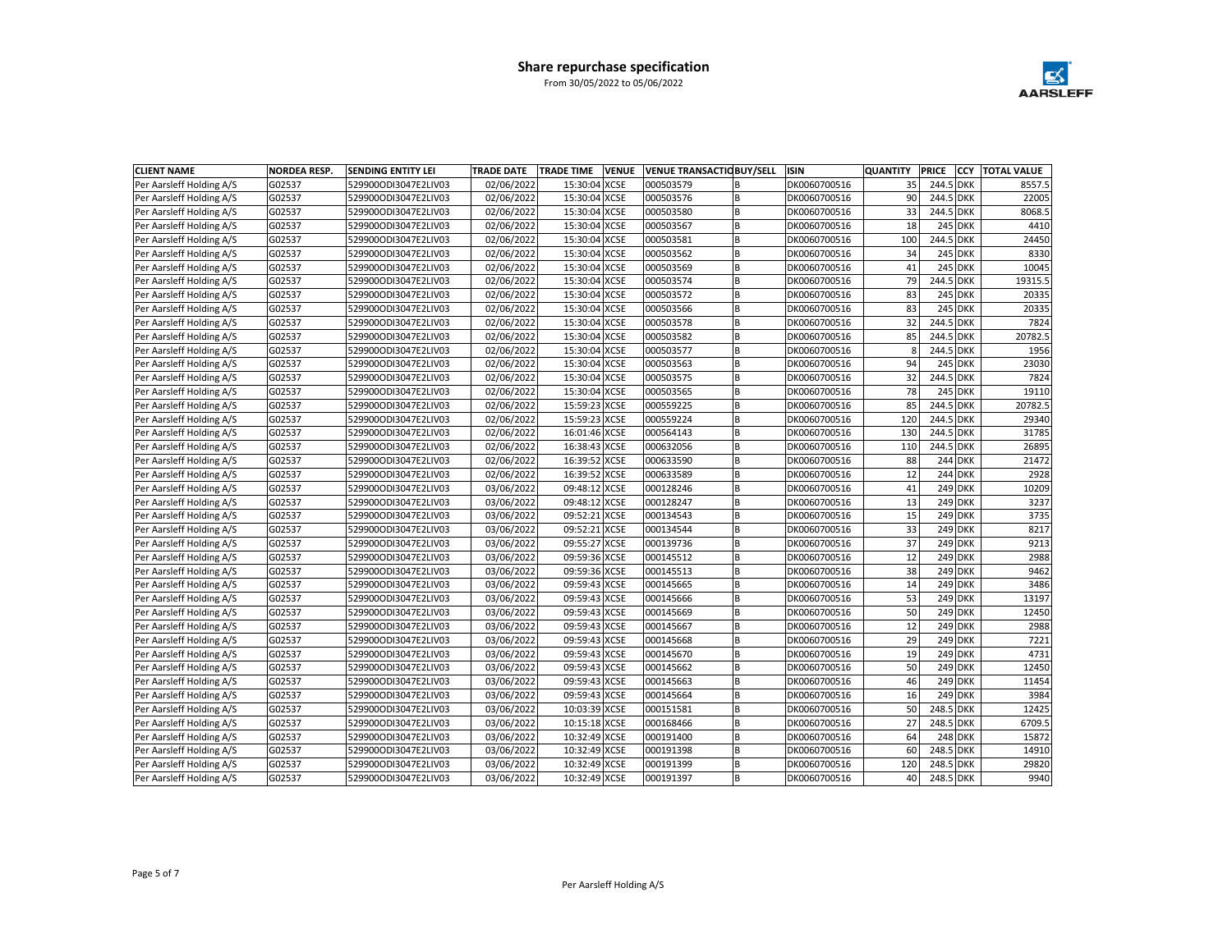

| <b>CLIENT NAME</b>       | <b>NORDEA RESP.</b> | <b>SENDING ENTITY LEI</b> | <b>TRADE DATE</b> | <b>TRADE TIME</b> | <b>VENUE</b> |           | <b>VENUE TRANSACTIC BUY/SELL</b> | <b>ISIN</b>  | <b>QUANTITY</b> | <b>PRICE</b> | <b>CCY</b>     | <b>TOTAL VALUE</b> |
|--------------------------|---------------------|---------------------------|-------------------|-------------------|--------------|-----------|----------------------------------|--------------|-----------------|--------------|----------------|--------------------|
| Per Aarsleff Holding A/S | G02537              | 529900ODI3047E2LIV03      | 02/06/2022        | 15:30:04 XCSE     |              | 000503579 | B                                | DK0060700516 | 35              | 244.5 DKK    |                | 8557.5             |
| Per Aarsleff Holding A/S | G02537              | 529900ODI3047E2LIV03      | 02/06/2022        | 15:30:04 XCSE     |              | 000503576 | B                                | DK0060700516 | 90              | 244.5 DKK    |                | 22005              |
| Per Aarsleff Holding A/S | G02537              | 529900ODI3047E2LIV03      | 02/06/2022        | 15:30:04 XCSE     |              | 000503580 | B                                | DK0060700516 | 33              | 244.5 DKK    |                | 8068.5             |
| Per Aarsleff Holding A/S | G02537              | 529900ODI3047E2LIV03      | 02/06/2022        | 15:30:04 XCSE     |              | 000503567 | <b>B</b>                         | DK0060700516 | 18              |              | 245 DKK        | 4410               |
| Per Aarsleff Holding A/S | G02537              | 529900ODI3047E2LIV03      | 02/06/2022        | 15:30:04 XCSE     |              | 000503581 | B                                | DK0060700516 | 100             | 244.5 DKK    |                | 24450              |
| Per Aarsleff Holding A/S | G02537              | 529900ODI3047E2LIV03      | 02/06/2022        | 15:30:04 XCSE     |              | 000503562 | B                                | DK0060700516 | 34              |              | 245 DKK        | 8330               |
| Per Aarsleff Holding A/S | G02537              | 529900ODI3047E2LIV03      | 02/06/2022        | 15:30:04 XCSE     |              | 000503569 | B                                | DK0060700516 | 41              |              | 245 DKK        | 10045              |
| Per Aarsleff Holding A/S | G02537              | 529900ODI3047E2LIV03      | 02/06/2022        | 15:30:04 XCSE     |              | 000503574 | B                                | DK0060700516 | 79              | 244.5 DKK    |                | 19315.5            |
| Per Aarsleff Holding A/S | G02537              | 529900ODI3047E2LIV03      | 02/06/2022        | 15:30:04 XCSE     |              | 000503572 | B                                | DK0060700516 | 83              |              | 245 DKK        | 20335              |
| Per Aarsleff Holding A/S | G02537              | 529900ODI3047E2LIV03      | 02/06/2022        | 15:30:04 XCSE     |              | 000503566 | B                                | DK0060700516 | 83              |              | 245 DKK        | 20335              |
| Per Aarsleff Holding A/S | G02537              | 529900ODI3047E2LIV03      | 02/06/2022        | 15:30:04 XCSE     |              | 000503578 | B                                | DK0060700516 | 32              | 244.5 DKK    |                | 7824               |
| Per Aarsleff Holding A/S | G02537              | 529900ODI3047E2LIV03      | 02/06/2022        | 15:30:04 XCSE     |              | 000503582 | B                                | DK0060700516 | 85              | 244.5 DKK    |                | 20782.5            |
| Per Aarsleff Holding A/S | G02537              | 529900ODI3047E2LIV03      | 02/06/2022        | 15:30:04 XCSE     |              | 000503577 | <b>B</b>                         | DK0060700516 | 8               | 244.5 DKK    |                | 1956               |
| Per Aarsleff Holding A/S | G02537              | 529900ODI3047E2LIV03      | 02/06/2022        | 15:30:04 XCSE     |              | 000503563 | <b>B</b>                         | DK0060700516 | 94              |              | <b>245 DKK</b> | 23030              |
| Per Aarsleff Holding A/S | G02537              | 529900ODI3047E2LIV03      | 02/06/2022        | 15:30:04 XCSE     |              | 000503575 | B                                | DK0060700516 | 32              | 244.5 DKK    |                | 7824               |
| Per Aarsleff Holding A/S | G02537              | 529900ODI3047E2LIV03      | 02/06/2022        | 15:30:04 XCSE     |              | 000503565 | <b>B</b>                         | DK0060700516 | 78              |              | 245 DKK        | 19110              |
| Per Aarsleff Holding A/S | G02537              | 529900ODI3047E2LIV03      | 02/06/2022        | 15:59:23 XCSE     |              | 000559225 | B                                | DK0060700516 | 85              | 244.5 DKK    |                | 20782.5            |
| Per Aarsleff Holding A/S | G02537              | 529900ODI3047E2LIV03      | 02/06/2022        | 15:59:23 XCSE     |              | 000559224 | B                                | DK0060700516 | 120             | 244.5 DKK    |                | 29340              |
| Per Aarsleff Holding A/S | G02537              | 529900ODI3047E2LIV03      | 02/06/2022        | 16:01:46 XCSE     |              | 000564143 | <b>B</b>                         | DK0060700516 | 130             | 244.5 DKK    |                | 31785              |
| Per Aarsleff Holding A/S | G02537              | 529900ODI3047E2LIV03      | 02/06/2022        | 16:38:43 XCSE     |              | 000632056 | <b>B</b>                         | DK0060700516 | 110             | 244.5 DKK    |                | 26895              |
| Per Aarsleff Holding A/S | G02537              | 529900ODI3047E2LIV03      | 02/06/2022        | 16:39:52 XCSE     |              | 000633590 | B                                | DK0060700516 | 88              |              | 244 DKK        | 21472              |
| Per Aarsleff Holding A/S | G02537              | 529900ODI3047E2LIV03      | 02/06/2022        | 16:39:52 XCSE     |              | 000633589 | B                                | DK0060700516 | 12              |              | 244 DKK        | 2928               |
| Per Aarsleff Holding A/S | G02537              | 529900ODI3047E2LIV03      | 03/06/2022        | 09:48:12 XCSE     |              | 000128246 | B                                | DK0060700516 | 41              |              | 249 DKK        | 10209              |
| Per Aarsleff Holding A/S | G02537              | 529900ODI3047E2LIV03      | 03/06/2022        | 09:48:12 XCSE     |              | 000128247 | B                                | DK0060700516 | 13              |              | 249 DKK        | 3237               |
| Per Aarsleff Holding A/S | G02537              | 529900ODI3047E2LIV03      | 03/06/2022        | 09:52:21 XCSE     |              | 000134543 | B                                | DK0060700516 | 15              |              | 249 DKK        | 3735               |
| Per Aarsleff Holding A/S | G02537              | 529900ODI3047E2LIV03      | 03/06/2022        | 09:52:21 XCSE     |              | 000134544 | B                                | DK0060700516 | 33              |              | 249 DKK        | 8217               |
| Per Aarsleff Holding A/S | G02537              | 529900ODI3047E2LIV03      | 03/06/2022        | 09:55:27 XCSE     |              | 000139736 | B                                | DK0060700516 | 37              |              | 249 DKK        | 9213               |
| Per Aarsleff Holding A/S | G02537              | 529900ODI3047E2LIV03      | 03/06/2022        | 09:59:36 XCSE     |              | 000145512 | B                                | DK0060700516 | 12              |              | 249 DKK        | 2988               |
| Per Aarsleff Holding A/S | G02537              | 529900ODI3047E2LIV03      | 03/06/2022        | 09:59:36 XCSE     |              | 000145513 | B                                | DK0060700516 | 38              |              | 249 DKK        | 9462               |
| Per Aarsleff Holding A/S | G02537              | 529900ODI3047E2LIV03      | 03/06/2022        | 09:59:43 XCSE     |              | 000145665 | B                                | DK0060700516 | 14              |              | 249 DKK        | 3486               |
| Per Aarsleff Holding A/S | G02537              | 529900ODI3047E2LIV03      | 03/06/2022        | 09:59:43 XCSE     |              | 000145666 | B                                | DK0060700516 | 53              |              | 249 DKK        | 13197              |
| Per Aarsleff Holding A/S | G02537              | 529900ODI3047E2LIV03      | 03/06/2022        | 09:59:43 XCSE     |              | 000145669 | B                                | DK0060700516 | 50              |              | 249 DKK        | 12450              |
| Per Aarsleff Holding A/S | G02537              | 529900ODI3047E2LIV03      | 03/06/2022        | 09:59:43 XCSE     |              | 000145667 | B                                | DK0060700516 | 12              |              | 249 DKK        | 2988               |
| Per Aarsleff Holding A/S | G02537              | 529900ODI3047E2LIV03      | 03/06/2022        | 09:59:43 XCSE     |              | 000145668 | <b>B</b>                         | DK0060700516 | 29              |              | 249 DKK        | 7221               |
| Per Aarsleff Holding A/S | G02537              | 529900ODI3047E2LIV03      | 03/06/2022        | 09:59:43 XCSE     |              | 000145670 | B                                | DK0060700516 | 19              |              | 249 DKK        | 4731               |
| Per Aarsleff Holding A/S | G02537              | 529900ODI3047E2LIV03      | 03/06/2022        | 09:59:43 XCSE     |              | 000145662 | <b>B</b>                         | DK0060700516 | 50              |              | 249 DKK        | 12450              |
| Per Aarsleff Holding A/S | G02537              | 529900ODI3047E2LIV03      | 03/06/2022        | 09:59:43 XCSE     |              | 000145663 | <b>B</b>                         | DK0060700516 | 46              |              | 249 DKK        | 11454              |
| Per Aarsleff Holding A/S | G02537              | 529900ODI3047E2LIV03      | 03/06/2022        | 09:59:43 XCSE     |              | 000145664 | B                                | DK0060700516 | 16              |              | 249 DKK        | 3984               |
| Per Aarsleff Holding A/S | G02537              | 529900ODI3047E2LIV03      | 03/06/2022        | 10:03:39 XCSE     |              | 000151581 | B                                | DK0060700516 | 50              | 248.5 DKK    |                | 12425              |
| Per Aarsleff Holding A/S | G02537              | 529900ODI3047E2LIV03      | 03/06/2022        | 10:15:18 XCSE     |              | 000168466 | B                                | DK0060700516 | 27              | 248.5 DKK    |                | 6709.5             |
| Per Aarsleff Holding A/S | G02537              | 529900ODI3047E2LIV03      | 03/06/2022        | 10:32:49 XCSE     |              | 000191400 | B                                | DK0060700516 | 64              |              | 248 DKK        | 15872              |
| Per Aarsleff Holding A/S | G02537              | 529900ODI3047E2LIV03      | 03/06/2022        | 10:32:49 XCSE     |              | 000191398 | B                                | DK0060700516 | 60              | 248.5 DKK    |                | 14910              |
| Per Aarsleff Holding A/S | G02537              | 529900ODI3047E2LIV03      | 03/06/2022        | 10:32:49 XCSE     |              | 000191399 | B                                | DK0060700516 | 120             | 248.5 DKK    |                | 29820              |
| Per Aarsleff Holding A/S | G02537              | 529900ODI3047E2LIV03      | 03/06/2022        | 10:32:49 XCSE     |              | 000191397 | lв                               | DK0060700516 | 40              | 248.5 DKK    |                | 9940               |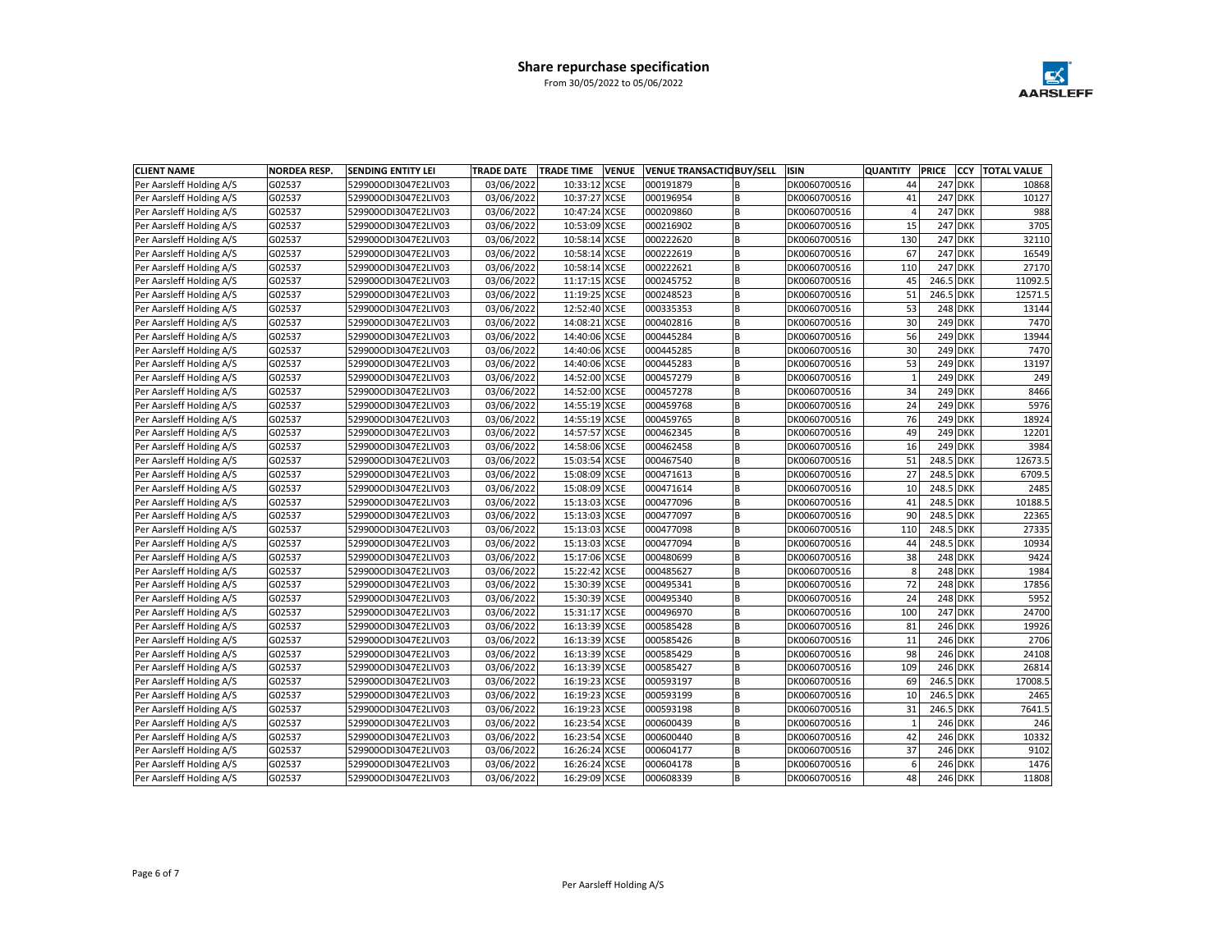

| <b>CLIENT NAME</b>       | <b>NORDEA RESP.</b> | <b>SENDING ENTITY LEI</b> | <b>TRADE DATE</b> | <b>TRADE TIME</b> | <b>VENUE</b> |           | <b>VENUE TRANSACTIC BUY/SELL</b> | <b>ISIN</b>  | <b>QUANTITY</b> | <b>PRICE</b> | <b>CCY</b>     | <b>TOTAL VALUE</b> |
|--------------------------|---------------------|---------------------------|-------------------|-------------------|--------------|-----------|----------------------------------|--------------|-----------------|--------------|----------------|--------------------|
| Per Aarsleff Holding A/S | G02537              | 529900ODI3047E2LIV03      | 03/06/2022        | 10:33:12 XCSE     |              | 000191879 | B                                | DK0060700516 | 44              |              | <b>247 DKK</b> | 10868              |
| Per Aarsleff Holding A/S | G02537              | 529900ODI3047E2LIV03      | 03/06/2022        | 10:37:27 XCSE     |              | 000196954 | B                                | DK0060700516 | 41              |              | <b>247 DKK</b> | 10127              |
| Per Aarsleff Holding A/S | G02537              | 529900ODI3047E2LIV03      | 03/06/2022        | 10:47:24 XCSE     |              | 000209860 | B                                | DK0060700516 | $\overline{4}$  |              | <b>247 DKK</b> | 988                |
| Per Aarsleff Holding A/S | G02537              | 529900ODI3047E2LIV03      | 03/06/2022        | 10:53:09 XCSE     |              | 000216902 | <b>B</b>                         | DK0060700516 | 15              |              | <b>247 DKK</b> | 3705               |
| Per Aarsleff Holding A/S | G02537              | 529900ODI3047E2LIV03      | 03/06/2022        | 10:58:14 XCSE     |              | 000222620 | B                                | DK0060700516 | 130             |              | 247 DKK        | 32110              |
| Per Aarsleff Holding A/S | G02537              | 529900ODI3047E2LIV03      | 03/06/2022        | 10:58:14 XCSE     |              | 000222619 | B                                | DK0060700516 | 67              |              | <b>247 DKK</b> | 16549              |
| Per Aarsleff Holding A/S | G02537              | 529900ODI3047E2LIV03      | 03/06/2022        | 10:58:14 XCSE     |              | 000222621 | B                                | DK0060700516 | 110             |              | <b>247 DKK</b> | 27170              |
| Per Aarsleff Holding A/S | G02537              | 529900ODI3047E2LIV03      | 03/06/2022        | 11:17:15 XCSE     |              | 000245752 | B                                | DK0060700516 | 45              | 246.5 DKK    |                | 11092.5            |
| Per Aarsleff Holding A/S | G02537              | 529900ODI3047E2LIV03      | 03/06/2022        | 11:19:25 XCSE     |              | 000248523 | B                                | DK0060700516 | 51              | 246.5 DKK    |                | 12571.5            |
| Per Aarsleff Holding A/S | G02537              | 529900ODI3047E2LIV03      | 03/06/2022        | 12:52:40 XCSE     |              | 000335353 | B                                | DK0060700516 | 53              |              | 248 DKK        | 13144              |
| Per Aarsleff Holding A/S | G02537              | 529900ODI3047E2LIV03      | 03/06/2022        | 14:08:21 XCSE     |              | 000402816 | B                                | DK0060700516 | 30              |              | 249 DKK        | 7470               |
| Per Aarsleff Holding A/S | G02537              | 529900ODI3047E2LIV03      | 03/06/2022        | 14:40:06 XCSE     |              | 000445284 | B                                | DK0060700516 | 56              |              | 249 DKK        | 13944              |
| Per Aarsleff Holding A/S | G02537              | 529900ODI3047E2LIV03      | 03/06/2022        | 14:40:06 XCSE     |              | 000445285 | <b>B</b>                         | DK0060700516 | 30              |              | 249 DKK        | 7470               |
| Per Aarsleff Holding A/S | G02537              | 529900ODI3047E2LIV03      | 03/06/2022        | 14:40:06 XCSE     |              | 000445283 | <b>B</b>                         | DK0060700516 | 53              |              | 249 DKK        | 13197              |
| Per Aarsleff Holding A/S | G02537              | 529900ODI3047E2LIV03      | 03/06/2022        | 14:52:00 XCSE     |              | 000457279 | B                                | DK0060700516 | $\mathbf{1}$    |              | 249 DKK        | 249                |
| Per Aarsleff Holding A/S | G02537              | 529900ODI3047E2LIV03      | 03/06/2022        | 14:52:00 XCSE     |              | 000457278 | <b>B</b>                         | DK0060700516 | 34              |              | 249 DKK        | 8466               |
| Per Aarsleff Holding A/S | G02537              | 529900ODI3047E2LIV03      | 03/06/2022        | 14:55:19 XCSE     |              | 000459768 | B                                | DK0060700516 | 24              |              | 249 DKK        | 5976               |
| Per Aarsleff Holding A/S | G02537              | 529900ODI3047E2LIV03      | 03/06/2022        | 14:55:19 XCSE     |              | 000459765 | B                                | DK0060700516 | 76              |              | 249 DKK        | 18924              |
| Per Aarsleff Holding A/S | G02537              | 529900ODI3047E2LIV03      | 03/06/2022        | 14:57:57 XCSE     |              | 000462345 | <b>B</b>                         | DK0060700516 | 49              |              | 249 DKK        | 12201              |
| Per Aarsleff Holding A/S | G02537              | 529900ODI3047E2LIV03      | 03/06/2022        | 14:58:06 XCSE     |              | 000462458 | <b>B</b>                         | DK0060700516 | 16              |              | 249 DKK        | 3984               |
| Per Aarsleff Holding A/S | G02537              | 529900ODI3047E2LIV03      | 03/06/2022        | 15:03:54 XCSE     |              | 000467540 | B                                | DK0060700516 | 51              | 248.5 DKK    |                | 12673.5            |
| Per Aarsleff Holding A/S | G02537              | 529900ODI3047E2LIV03      | 03/06/2022        | 15:08:09 XCSE     |              | 000471613 | B                                | DK0060700516 | 27              | 248.5 DKK    |                | 6709.5             |
| Per Aarsleff Holding A/S | G02537              | 529900ODI3047E2LIV03      | 03/06/2022        | 15:08:09 XCSE     |              | 000471614 | B                                | DK0060700516 | 10              | 248.5 DKK    |                | 2485               |
| Per Aarsleff Holding A/S | G02537              | 529900ODI3047E2LIV03      | 03/06/2022        | 15:13:03 XCSE     |              | 000477096 | B                                | DK0060700516 | 41              | 248.5 DKK    |                | 10188.5            |
| Per Aarsleff Holding A/S | G02537              | 529900ODI3047E2LIV03      | 03/06/2022        | 15:13:03 XCSE     |              | 000477097 | B                                | DK0060700516 | 90              | 248.5 DKK    |                | 22365              |
| Per Aarsleff Holding A/S | G02537              | 529900ODI3047E2LIV03      | 03/06/2022        | 15:13:03 XCSE     |              | 000477098 | B                                | DK0060700516 | 110             | 248.5 DKK    |                | 27335              |
| Per Aarsleff Holding A/S | G02537              | 529900ODI3047E2LIV03      | 03/06/2022        | 15:13:03 XCSE     |              | 000477094 | B                                | DK0060700516 | 44              | 248.5 DKK    |                | 10934              |
| Per Aarsleff Holding A/S | G02537              | 529900ODI3047E2LIV03      | 03/06/2022        | 15:17:06 XCSE     |              | 000480699 | B                                | DK0060700516 | 38              |              | 248 DKK        | 9424               |
| Per Aarsleff Holding A/S | G02537              | 529900ODI3047E2LIV03      | 03/06/2022        | 15:22:42 XCSE     |              | 000485627 | B                                | DK0060700516 | 8               |              | 248 DKK        | 1984               |
| Per Aarsleff Holding A/S | G02537              | 529900ODI3047E2LIV03      | 03/06/2022        | 15:30:39 XCSE     |              | 000495341 | B                                | DK0060700516 | 72              |              | 248 DKK        | 17856              |
| Per Aarsleff Holding A/S | G02537              | 529900ODI3047E2LIV03      | 03/06/2022        | 15:30:39 XCSE     |              | 000495340 | B                                | DK0060700516 | 24              |              | 248 DKK        | 5952               |
| Per Aarsleff Holding A/S | G02537              | 529900ODI3047E2LIV03      | 03/06/2022        | 15:31:17 XCSE     |              | 000496970 | B                                | DK0060700516 | 100             |              | <b>247 DKK</b> | 24700              |
| Per Aarsleff Holding A/S | G02537              | 529900ODI3047E2LIV03      | 03/06/2022        | 16:13:39 XCSE     |              | 000585428 | B                                | DK0060700516 | 81              |              | 246 DKK        | 19926              |
| Per Aarsleff Holding A/S | G02537              | 529900ODI3047E2LIV03      | 03/06/2022        | 16:13:39 XCSE     |              | 000585426 | <b>B</b>                         | DK0060700516 | 11              |              | 246 DKK        | 2706               |
| Per Aarsleff Holding A/S | G02537              | 529900ODI3047E2LIV03      | 03/06/2022        | 16:13:39 XCSE     |              | 000585429 | B                                | DK0060700516 | 98              |              | 246 DKK        | 24108              |
| Per Aarsleff Holding A/S | G02537              | 529900ODI3047E2LIV03      | 03/06/2022        | 16:13:39 XCSE     |              | 000585427 | <b>B</b>                         | DK0060700516 | 109             |              | 246 DKK        | 26814              |
| Per Aarsleff Holding A/S | G02537              | 529900ODI3047E2LIV03      | 03/06/2022        | 16:19:23 XCSE     |              | 000593197 | <b>B</b>                         | DK0060700516 | 69              | 246.5 DKK    |                | 17008.5            |
| Per Aarsleff Holding A/S | G02537              | 529900ODI3047E2LIV03      | 03/06/2022        | 16:19:23 XCSE     |              | 000593199 | B                                | DK0060700516 | 10              | 246.5 DKK    |                | 2465               |
| Per Aarsleff Holding A/S | G02537              | 529900ODI3047E2LIV03      | 03/06/2022        | 16:19:23 XCSE     |              | 000593198 | B                                | DK0060700516 | 31              | 246.5 DKK    |                | 7641.5             |
| Per Aarsleff Holding A/S | G02537              | 529900ODI3047E2LIV03      | 03/06/2022        | 16:23:54 XCSE     |              | 000600439 | B                                | DK0060700516 | $\mathbf{1}$    |              | 246 DKK        | 246                |
| Per Aarsleff Holding A/S | G02537              | 529900ODI3047E2LIV03      | 03/06/2022        | 16:23:54 XCSE     |              | 000600440 | B                                | DK0060700516 | 42              |              | 246 DKK        | 10332              |
| Per Aarsleff Holding A/S | G02537              | 529900ODI3047E2LIV03      | 03/06/2022        | 16:26:24 XCSE     |              | 000604177 | B                                | DK0060700516 | 37              |              | 246 DKK        | 9102               |
| Per Aarsleff Holding A/S | G02537              | 529900ODI3047E2LIV03      | 03/06/2022        | 16:26:24 XCSE     |              | 000604178 | B                                | DK0060700516 | 6               |              | 246 DKK        | 1476               |
| Per Aarsleff Holding A/S | G02537              | 529900ODI3047E2LIV03      | 03/06/2022        | 16:29:09 XCSE     |              | 000608339 | lв                               | DK0060700516 | 48              |              | 246 DKK        | 11808              |